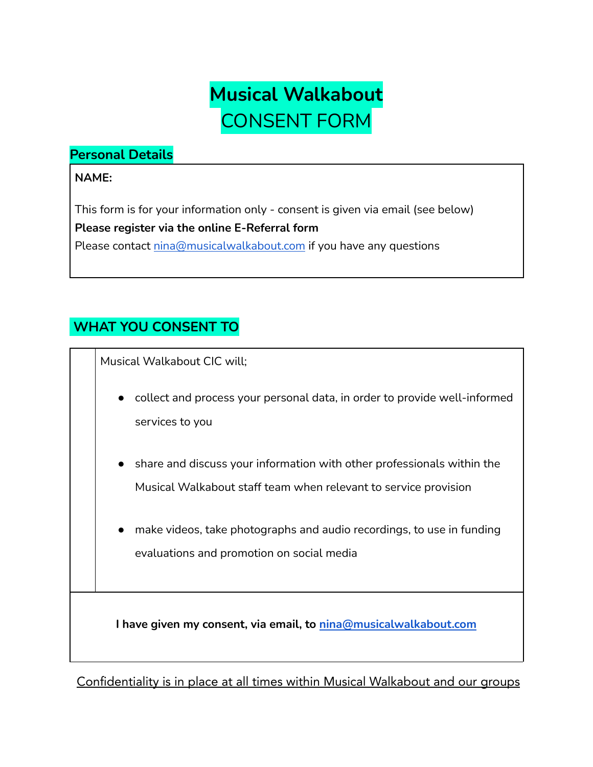

### **Personal Details**

#### **NAME:**

This form is for your information only - consent is given via email (see below) **Please register via the online E-Referral form** Please contact [nina@musicalwalkabout.com](mailto:info@musicalwalkabout.com) if you have any questions

# **WHAT YOU CONSENT TO**

Musical Walkabout CIC will;

- collect and process your personal data, in order to provide well-informed services to you
- share and discuss your information with other professionals within the Musical Walkabout staff team when relevant to service provision
- make videos, take photographs and audio recordings, to use in funding evaluations and promotion on social media

**I have given my consent, via email, to [nina@musicalwalkabout.com](mailto:nina@musicalwalkabout.com)**

Confidentiality is in place at all times within Musical Walkabout and our groups